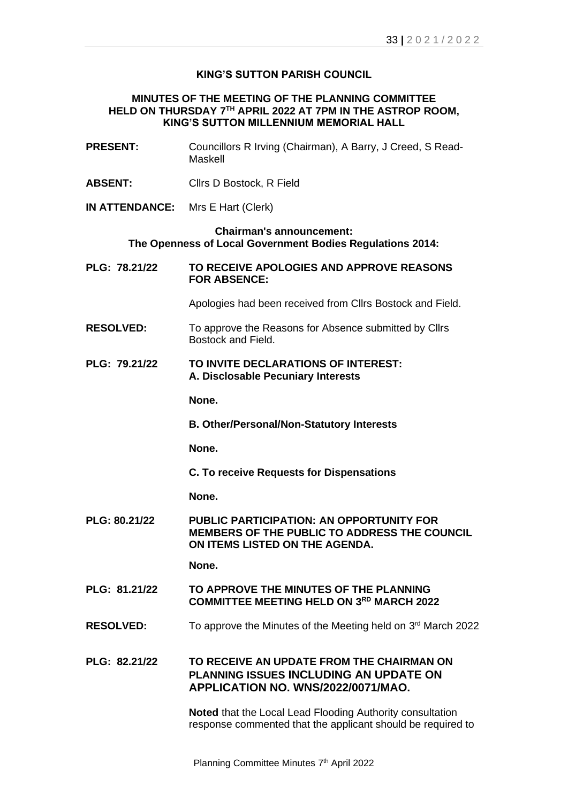## **KING'S SUTTON PARISH COUNCIL**

## **MINUTES OF THE MEETING OF THE PLANNING COMMITTEE HELD ON THURSDAY 7 TH APRIL 2022 AT 7PM IN THE ASTROP ROOM, KING'S SUTTON MILLENNIUM MEMORIAL HALL**

| <b>PRESENT:</b>                                                                              | Councillors R Irving (Chairman), A Barry, J Creed, S Read-<br>Maskell                                                             |  |
|----------------------------------------------------------------------------------------------|-----------------------------------------------------------------------------------------------------------------------------------|--|
| <b>ABSENT:</b>                                                                               | Cllrs D Bostock, R Field                                                                                                          |  |
| <b>IN ATTENDANCE:</b>                                                                        | Mrs E Hart (Clerk)                                                                                                                |  |
| <b>Chairman's announcement:</b><br>The Openness of Local Government Bodies Regulations 2014: |                                                                                                                                   |  |
| PLG: 78.21/22                                                                                | TO RECEIVE APOLOGIES AND APPROVE REASONS<br><b>FOR ABSENCE:</b>                                                                   |  |
|                                                                                              | Apologies had been received from Cllrs Bostock and Field.                                                                         |  |
| <b>RESOLVED:</b>                                                                             | To approve the Reasons for Absence submitted by Cllrs<br>Bostock and Field.                                                       |  |
| PLG: 79.21/22                                                                                | TO INVITE DECLARATIONS OF INTEREST:<br>A. Disclosable Pecuniary Interests                                                         |  |
|                                                                                              | None.                                                                                                                             |  |
|                                                                                              | <b>B. Other/Personal/Non-Statutory Interests</b>                                                                                  |  |
|                                                                                              | None.                                                                                                                             |  |
|                                                                                              | <b>C. To receive Requests for Dispensations</b>                                                                                   |  |
|                                                                                              | None.                                                                                                                             |  |
| PLG: 80.21/22                                                                                | <b>PUBLIC PARTICIPATION: AN OPPORTUNITY FOR</b><br>MEMBERS OF THE PUBLIC TO ADDRESS THE COUNCIL<br>ON ITEMS LISTED ON THE AGENDA. |  |
|                                                                                              | None.                                                                                                                             |  |
| PLG: 81.21/22                                                                                | TO APPROVE THE MINUTES OF THE PLANNING<br><b>COMMITTEE MEETING HELD ON 3RD MARCH 2022</b>                                         |  |
| <b>RESOLVED:</b>                                                                             | To approve the Minutes of the Meeting held on 3rd March 2022                                                                      |  |
| PLG: 82.21/22                                                                                | TO RECEIVE AN UPDATE FROM THE CHAIRMAN ON<br><b>PLANNING ISSUES INCLUDING AN UPDATE ON</b><br>APPLICATION NO. WNS/2022/0071/MAO.  |  |
|                                                                                              | <b>Noted that the Local Lead Flooding Authority consultation</b><br>response commented that the applicant should be required to   |  |